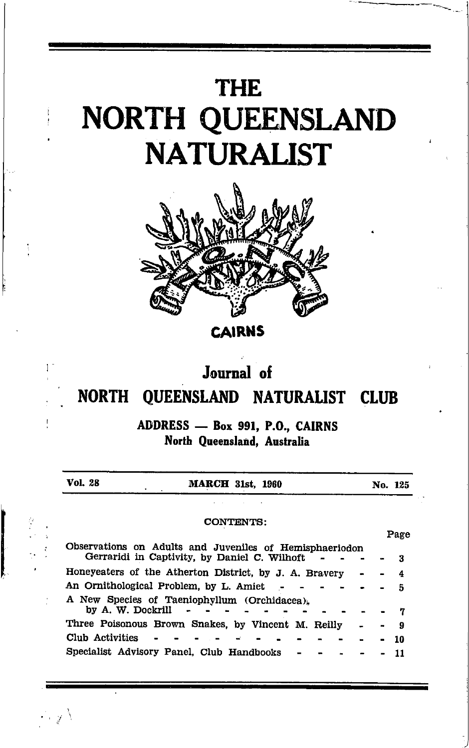## **THE** NORTH QUEENSLAND **NATURALIST**



**CAIRNS** 

## Journal of

## NORTH QUEENSLAND NATURALIST CLUB

ADDRESS - Box 991, P.O., CAIRNS North Queensland, Australia

| Vol. 28           | <b>MARCH 31st, 1960</b>                                                                                 |  | No. 125 |
|-------------------|---------------------------------------------------------------------------------------------------------|--|---------|
|                   |                                                                                                         |  |         |
|                   | <b>CONTENTS:</b>                                                                                        |  |         |
|                   |                                                                                                         |  | Page    |
|                   | Observations on Adults and Juveniles of Hemisphaeriodon<br>Gerraridi in Captivity, by Daniel C. Wilhoft |  | 3       |
|                   | Honeyeaters of the Atherton District, by J. A. Bravery                                                  |  | 4       |
|                   | An Ornithological Problem, by L. Amiet                                                                  |  | 5       |
| by A. W. Dockrill | A New Species of Taeniophyllum (Orchidacea),                                                            |  |         |
|                   | Three Poisonous Brown Snakes, by Vincent M. Reilly                                                      |  | 9       |
| Club Activities   |                                                                                                         |  | 10      |
|                   | Specialist Advisory Panel, Club Handbooks                                                               |  |         |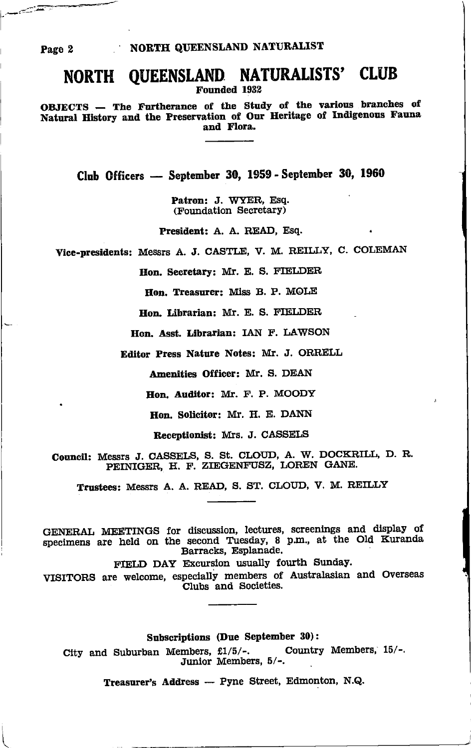## NORTH QUEENSLAND NATURALISTS' CLUB

Founded 1932

OBJECTS - The Furtherance of the Study of the various branches of Natural History and the Preservation of Our Heritage of Indigenous Fauna and Flora.

Club Officers - September 30, 1959 - September 30, 1960

Patron: J. WYER, Esq. (Foundation Secretary)

President: A. A. READ, Esq.

Vice-presidents: Messrs A. J. CASTLE, V. M. REILLY, C. COLEMAN

Hon. Secretary: Mr. E. S. FIELDER

Hon. Treasurer: Miss B. P. MOLE

Hon, Librarian: Mr. E. S. FIELDER

Hon, Asst. Librarian: IAN F. LAWSON

Editor Press Nature Notes: Mr. J. ORRELL

Amenities Officer: Mr. S. DEAN

Hon. Auditor: Mr. F. P. MOODY

Hon. Solicitor: Mr. H. E. DANN

Receptionist: Mrs. J. CASSELS

Council: Messrs J. CASSELS, S. St. CLOUD, A. W. DOCKRILL, D. R. PEINIGER, H. F. ZIEGENFUSZ, LOREN GANE.

Trustees: Messrs A. A. READ, S. ST. CLOUD, V. M. REILLY

GENERAL MEETINGS for discussion, lectures, screenings and display of specimens are held on the second Tuesday, 8 p.m., at the Old Kuranda Barracks, Esplanade.

FIELD DAY Excursion usually fourth Sunday.

VISITORS are welcome, especially members of Australasian and Overseas Clubs and Societies.

Subscriptions (Due September 30):

City and Suburban Members, £1/5/-. Country Members, 15/-. Junior Members, 5/-.

Treasurer's Address - Pyne Street, Edmonton, N.Q.

Page 2

فتقتصه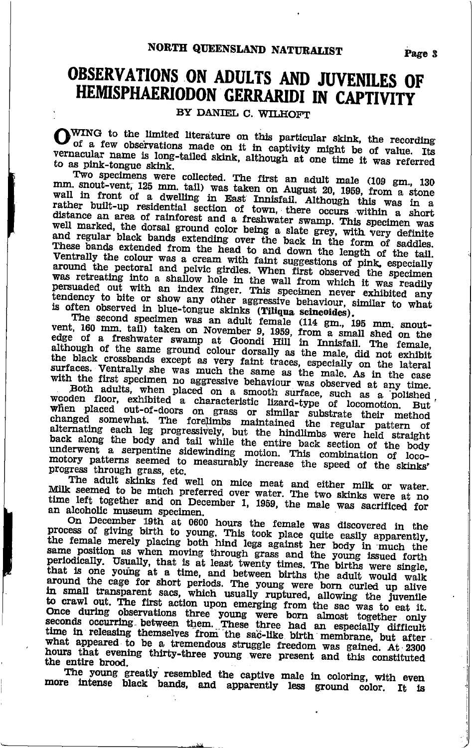## OBSERVATIONS ON ADULTS AND JUVENILES OF HEMISPHAERIODON GERRARIDI IN CAPTIVITY

BY DANIEL C. WILHOFT

WING to the limited literature on this particular skink, the recording OWING to the immuted interactive on this personalized and the of value. Its of a few observations made on it in captivity might be of value. Its vernacular name is long-tailed skink, although at one time it was referred to as pink-tongue skink.

Two specimens were collected. The first an adult male (109 gm., 130 mm. snout-vent, 125 mm. tail) was taken on August 20, 1959, from a stone wall in front of a dwelling in East Innisfail. Although this was in a rather built-up residential section of town, there occurs within a short distance an area of rainforest and a freshwater swamp. This specimen was well marked, the dorsal ground color being a slate grey, with very definite and regular black bands extending over the back in the form of saddles. These bands extended from the head to and down the length of the tail. Ventrally the colour was a cream with faint suggestions of pink, especially around the pectoral and pelvic girdles. When first observed the specimen was retreating into a shallow hole in the wall from which it was readily persuaded out with an index finger. This specimen never exhibited any tendency to bite or show any other aggressive behaviour, similar to what

is often observed in blue-tongue skinks (Tiliqua scincoides).<br>
The second specimen was an adult female (114 gm, 195 mm, snout-<br>
The second specimen was an adult female (114 gm, 195 mm, snout-<br>
vent, 160 mm, tail) taken on edge of a freshwater swamp at Goondi Hill in Innisfail. The female, edge of a Hushwave swamp as Gooding Him Hushman. The Fontal, and the black crossbands except as very faint traces, especially on the lateral surfaces. Ventrally she was much the same as the male. As in the case with the first specimen no aggressive behaviour was observed at any time.

Notified a characteristic lizard-type of locomotion. But<br>Both adults, when placed on a smooth surface, such as a polished<br>wooden floor, exhibited a characteristic lizard-type of locomotion. But<br>when placed out-of-doors on underwent a serpentine sidewinding motion. This combination of loco-<br>motory patterns seemed to measurably increase the speed of the skinks' progress through grass, etc.

The adult skinks fed well on mice meat and either milk or water.<br>
Milk seemed to be much preferred over water. The two skinks were at no<br>
time left together and on December 1, 1959, the male was sacrificed for an alcoholic museum specimen.

On December 19th at 0600 hours the female was discovered in the process of giving birth to young. This took place quite easily apparently, the female merely placing both hind legs against her body in much the the remain mercy placing boun initial regional method of the point same position as when moving through grass and the young issued forth periodically. Usually, that is at least twenty times. The births were single, that is in small transparent sacs, which usually ruptured, allowing the juvenile to crawl out. The first action upon emerging from the sac was to eat it. once during observations three young were born almost together only seconds occurring between them. These three had an especially difficult time in releasing themselves from the sac-like birth membrane, but after what appeared to be a tremendous struggle freedom was gained. At 2300 hours that evening thirty-three young were present and this constituted the entire brood.

The young greatly resembled the captive male in coloring, with even<br>more intense black bands, and apparently less ground color. It is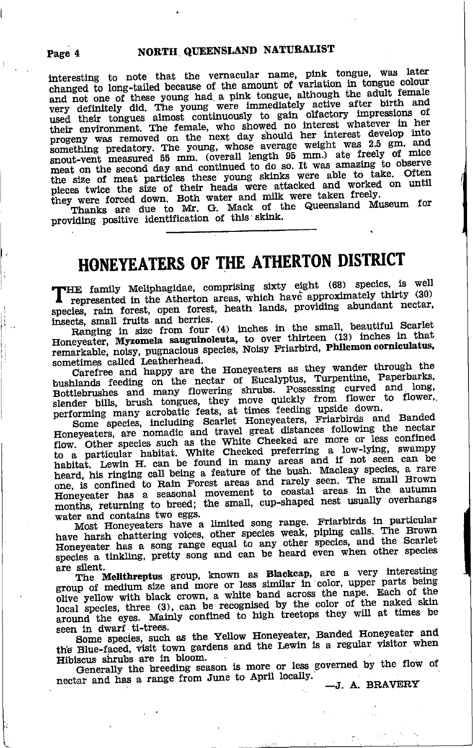interesting to note that the vernacular name, pink tongue, was later changed to long-tailed because of the amount of variation in tongue colour and not one of these young had a pink tongue, although the adult female very definitely did. The young were immediately active after birth and used their tongues almost continuously to gain olfactory impressions of their environment. The female, who showed no interest whatever in her progeny was removed on the next day should her interest develop into something predatory. The young, whose average weight was 2.5 gm. and snout-vent measured 55 mm. (overall length 95 mm.) ate freely of mice meat on the second day and continued to do so. It was amazing to observe the size of meat particles these young skinks were able to take. Often pieces twice the size of their heads were attacked and worked on until they were forced down. Both water and milk were taken freely.

Thanks are due to Mr. G. Mack of the Queensland Museum for providing positive identification of this skink.

## HONEYEATERS OF THE ATHERTON DISTRICT

"HE family Meliphagidae, comprising sixty eight (68) species, is well represented in the Atherton areas, which have approximately thirty (30) species, rain forest, open forest, heath lands, providing abundant nectar, insects, small fruits and berries.

Ranging in size from four (4) inches in the small, beautiful Scarlet Honeyeater, Myzomela sauguinoleuta, to over thirteen (13) inches in that remarkable, noisy, pugnacious species, Noisy Friarbird, Philemon corniculatus, sometimes called Leatherhead.

Carefree and happy are the Honeyeaters as they wander through the bushlands feeding on the nectar of Eucalyptus, Turpentine, Paperbarks, Bottlebrushes and many flowering shrubs. Possessing curved and long, slender bills, brush tongues, they move quickly from flower to flower, performing many acrobatic feats, at times feeding upside down.

Some species, including Scarlet Honeyeaters, Friarbirds and Banded Honeyeaters, are nomadic and travel great distances following the nectar flow. Other species such as the White Cheeked are more or less confined to a particular habitat. White Cheeked preferring a low-lying, swampy habitat. Lewin H. can be found in many areas and if not seen can be heard, his ringing call being a feature of the bush. Macleay species, a rare one, is confined to Rain Forest areas and rarely seen. The small Brown Honeyeater has a seasonal movement to coastal areas in the autumn<br>months, returning to breed; the small, cup-shaped nest usually overhangs water and contains two eggs.

Most Honeyeaters have a limited song range. Friarbirds in particular have harsh chattering voices, other species weak, piping calls. The Brown Honeyeater has a song range equal to any other species, and the Scarlet species a tinkling, pretty song and can be heard even when other species are silent.

The Melithreptus group, known as Blackcap, are a very interesting group of medium size and more or less similar in color, upper parts being olive yellow with black crown, a white band across the nape. Each of the local species, three (3), can be recognised by the color of the naked skin around the eyes. Mainly confined to high treetops they will at times be seen in dwarf ti-trees.

Some species, such as the Yellow Honeyeater, Banded Honeyeater and the Blue-faced, visit town gardens and the Lewin is a regular visitor when Hibiscus shrubs are in bloom.

Generally the breeding season is more or less governed by the flow of nectar and has a range from June to April locally.

-J. A. BRAVERY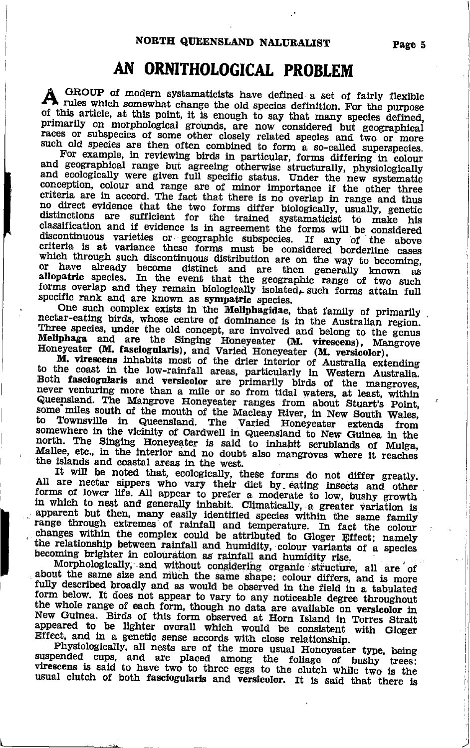## AN ORNITHOLOGICAL PROBLEM

GROUP of modern systamaticists have defined a set of fairly flexible A critical modern operations and depectes definition. For the purpose of this article, at this point, it is enough to say that many species defined, primarily on morphological grounds, are now considered but geographical races or subspecies of some other closely related species and two or more such old species are then often combined to form a so-called superspecies.

For example, in reviewing birds in particular, forms differing in colour and geographical range but agreeing otherwise structurally, physiologically and ecologically were given full specific status. Under the new systematic conception, colour and range are of minor importance if the other three criteria are in accord. The fact that there is no overlap in range and thus no direct evidence that the two forms differ biologically, usually, genetic distinctions are sufficient for the trained systematicist to make his classification and if evidence is in agreement the forms will be considered discontinuous varieties or geographic subspecies. If any of the above criteria is at variance these forms must be considered borderline cases which through such discontinuous distribution are on the way to becoming, or have already become distinct and are then generally known as allopatric species. In the event that the geographic range of two such forms overlap and they remain biologically isolated, such forms attain full specific rank and are known as sympatric species.

One such complex exists in the Meliphagidae, that family of primarily nectar-eating birds, whose centre of dominance is in the Australian region. Three species, under the old concept, are involved and belong to the genus Meliphaga and are the Singing Honeyeater (M. virescens), Mangrove<br>Honeyeater (M. fasciogularis), and Varied Honeyeater (M. versicolor).

M. virescens inhabits most of the drier interior of Australia extending to the coast in the low-rainfall areas, particularly in Western Australia. Both fasciogularis and versicolor are primarily birds of the mangroves, never venturing more than a mile or so from tidal waters, at least, within Queensland. The Mangrove Honeyeater ranges from about Stuart's Point, some miles south of the mouth of the Macleay River, in New South Wales, in Queensland. The Varied Honeyeater extends Townsville to from somewhere in the vicinity of Cardwell in Queensland to New Guinea in the north. The Singing Honeyeater is said to inhabit scrublands of Mulga, Mallee, etc., in the interior and no doubt also mangroves where it reaches the islands and coastal areas in the west.

It will be noted that, ecologically, these forms do not differ greatly.<br>
It will be noted that, ecologically, these forms do not differ greatly.<br>
All are nectar sippers who vary their diet by eating insects and other<br>
form apparent but then, many easily identified species within the same family range through extremes of rainfall and temperature. In fact the colour changes within the complex could be attributed to Gloger Effect; namely the relationship between rainfall and humidity, colour variants of a species becoming brighter in colouration as rainfall and humidity rise.

Morphologically, and without considering organic structure, all are of about the same size and much the same shape: colour differs, and is more fully described broadly and as would be observed in the field in a tabulated form below. It does not appear to vary to any noticeable degree throughout the whole range of each form, though no data are available on versicolor in New Guinea. Birds of this form observed at Horn Island in Torres Strait appeared to be lighter overall which would be consistent with Gloger Effect, and in a genetic sense accords with close relationship.

Physiologically, all nests are of the more usual Honeyeater type, being<br>suspended cups, and are placed among the foliage of bushy trees:<br>virescens is said to have two to three eggs to the clutch while two is the<br>contractio usual clutch of both fasciogularis and versicolor. It is said that there is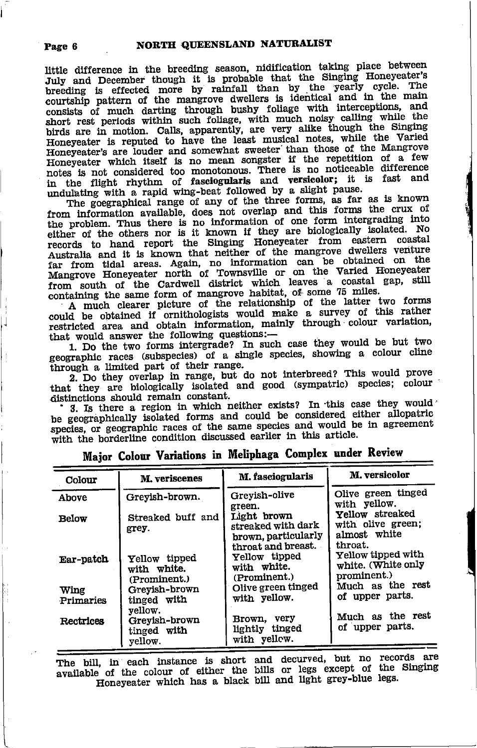little difference in the breeding season, nidification taking place between July and December though it is probable that the Singing Honeyeater's breeding is effected more by rainfall than by the yearly cycle. The courtship pattern of the mangrove dwellers is identical and in the main consists of much darting through bushy foliage with interceptions, and short rest periods within such follage, with much noisy calling while the birds are in motion. Calls, apparently, are very alike though the Singing Honeyeater is reputed to have the least musical notes, while the Varied Honeyeater's are louder and somewhat sweeter than those of the Mangrove Honeyeater which itself is no mean songster if the repetition of a few notes is not considered too monotonous. There is no noticeable difference in the flight rhythm of fasciogularis and versicolor; it is fast and undulating with a rapid wing-beat followed by a slight pause.

The goegraphical range of any of the three forms, as far as is known from information available, does not overlap and this forms the crux of the problem. Thus there is no information of one form intergrading into either of the others nor is it known if they are biologically isolated. No records to hand report the Singing Honeyeater from eastern coastal Australia and it is known that neither of the mangrove dwellers venture far from tidal areas. Again, no information can be obtained on the Mangrove Honeyeater north of Townsville or on the Varied Honeyeater from south of the Cardwell district which leaves a coastal gap, still containing the same form of mangrove habitat, of some 75 miles.

A much clearer picture of the relationship of the latter two forms<br>could be obtained if ornithologists would make a survey of this rather restricted area and obtain information, mainly through colour variation, that would answer the following questions:-

1. Do the two forms intergrade? In such case they would be but two geographic races (subspecies) of a single species, showing a colour cline through a limited part of their range.

2. Do they overlap in range, but do not interbreed? This would prove that they are biologically isolated and good (sympatric) species; colour distinctions should remain constant.

3. Is there a region in which neither exists? In this case they would be geographically isolated forms and could be considered either allopatric species, or geographic races of the same species and would be in agreement with the borderline condition discussed earlier in this article.

| Colour    | M. veriscenes                                | M. fasciogularis                                                               | M. versicolor                                                   |
|-----------|----------------------------------------------|--------------------------------------------------------------------------------|-----------------------------------------------------------------|
| Above     | Greyish-brown.                               | Greyish-olive<br>green.                                                        | Olive green tinged<br>with yellow.                              |
| Below     | Streaked buff and<br>grey.                   | Light brown<br>streaked with dark<br>brown, particularly<br>throat and breast. | Yellow streaked<br>with olive green;<br>almost white<br>throat. |
| Ear-patch | Yellow tipped<br>with white.<br>(Prominent.) | Yellow tipped<br>with white.<br>(Prominent.)                                   | Yellow tipped with<br>white. (White only<br>prominent.)         |
| Wing      | Grevish-brown<br>tinged with                 | Olive green tinged<br>with yellow.                                             | Much as the rest<br>of upper parts.                             |
| Primaries | vellow.                                      |                                                                                |                                                                 |
| Rectrices | Grevish-brown<br>tinged with<br>vellow.      | Brown, very<br>lightly tinged<br>with yellow.                                  | Much as the rest<br>of upper parts.                             |

Major Colour Variations in Meliphaga Complex under Review

The bill, in each instance is short and decurved, but no records are available of the colour of either the bills or legs except of the Singing Honeyeater which has a black bill and light grey-blue legs.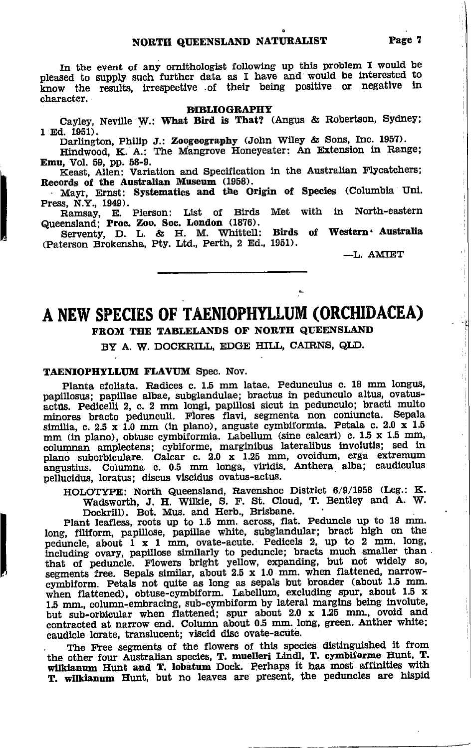In the event of any ornithologist following up this problem I would be pleased to supply such further data as I have and would be interested to know the results, irrespective of their being positive or negative in character.

#### **BIBLIOGRAPHY**

Cayley, Neville W.: What Bird is That? (Angus & Robertson, Sydney;  $1$  Ed.  $1951$ ).

Darlington, Philip J.: Zoogeography (John Wiley & Sons, Inc. 1957).

Hindwood, K. A.: The Mangrove Honeyeater: An Extension in Range; Emu, Vol. 59, pp. 58-9.

Keast, Allen: Variation and Specification in the Australian Flycatchers; Records of the Australian Museum (1958).

Mayr, Ernst: Systematics and the Origin of Species (Columbia Uni. Press, N.Y., 1949).

Ramsay, E. Pierson: List of Birds Met with in North-eastern Queensland: Proc. Zoo. Soc. London (1876).

Serventy, D. L. & H. M. Whittell: Birds<br>(Paterson Brokensha, Pty. Ltd., Perth, 2 Ed., 1951). Birds of Western Australia

-L. AMIET

 $\frac{1}{2}$ 

蔓  $\mathbf{i}$ 

ij

## A NEW SPECIES OF TAENIOPHYLLUM (ORCHIDACEA) FROM THE TABLELANDS OF NORTH QUEENSLAND

BY A. W. DOCKRILL, EDGE HILL, CAIRNS, QLD.

#### TAENIOPHYLLUM FLAVUM Spec. Nov.

Planta efoliata. Radices c. 1.5 mm latae. Pedunculus c. 18 mm longus, papillosus; papillae albae, subglandulae; bractus in pedunculo altus, ovatusactus. Pedicelli 2, c. 2 mm longi, papillosi sicut in pedunculo; bracti multo minores bracto pedunculi. Flores flavi, segmenta non coniuncta. Sepala similia, c. 2.5 x 1.0 mm (in plano), anguste cymbiformia. Petala c. 2.0 x 1.5 pellucidus, loratus; discus viscidus ovatus-actus.

HOLOTYPE: North Queensland, Ravenshoe District 6/9/1958 (Leg.: K. Wadsworth, J. H. Wilkie, S. F. St. Cloud, T. Bentley and A. W. Dockrill). Bot. Mus. and Herb., Brisbane.

Plant leafless, roots up to 1.5 mm. across, flat. Peduncle up to 18 mm. long, filiform, papillose, papillae white, subglandular; bract high on the peduncle, about 1 x 1 mm, ovate-acute. Pedicels 2, up to 2 mm. long, including ovary, papillose similarly to peduncle; bracts much smaller than that of peduncle. Flowers bright yellow, expanding, but not widely so, segments free. Sepals similar, about 2.5 x 1.0 mm. when flattened, narrowcymbiform. Petals not quite as long as sepals but broader (about 1.5 mm.<br>when flattened), obtuse-cymbiform. Labellum, excluding spur, about 1.5 x 1.5 mm., column-embracing, sub-cymbiform by lateral margins being involute, but sub-orbicular when flattened; spur about 2.0 x 1.25 mm., ovoid and contracted at narrow end. Column about 0.5 mm. long, green. Anther white; caudicle lorate, translucent; viscid disc ovate-acute.

The Free segments of the flowers of this species distinguished it from the other four Australian species, T. muelleri Lindl, T. cymbiforme Hunt, T. wilkianum Hunt and T. lobatum Dock. Perhaps it has most affinities with T. wilkianum Hunt, but no leaves are present, the peduncles are hispid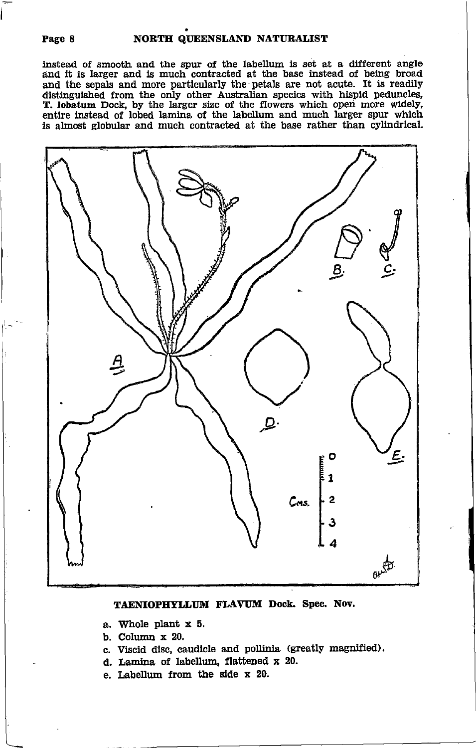#### NORTH QUEENSLAND NATURALIST

instead of smooth and the spur of the labellum is set at a different angle and it is larger and is much contracted at the base instead of being broad and the sepals and more particularly the petals are not acute. It is readily distinguished from the only other Australian species with hispid peduncles, T. lobatum Dock, by the larger size of the flowers which open more widely, entire instead of lobed lamina of the labellum and much larger spur which is almost globular and much contracted at the base rather than cylindrical.



#### TAENIOPHYLLUM FLAVUM Dock. Spec. Nov.

- a. Whole plant x 5.
- b. Column  $x$  20.
- c. Viscid disc, caudicle and pollinia (greatly magnified).
- d. Lamina of labellum, flattened x 20.
- e. Labellum from the side x 20.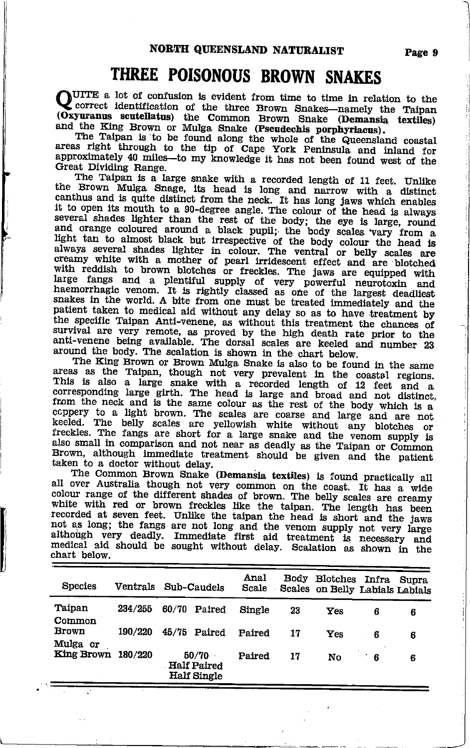## THREE POISONOUS BROWN SNAKES

QUITE a lot of confusion is evident from time to time in relation to the Correct identification of the three Brown Snakes-namely the Taipan (Oxyuranus scutellatus) the Common Brown Snake (Demansia textiles)

and the King Brown or Mulga Snake (Pseudechis porphyriaeus).<br>The Taipan is to be found along the whole of the Queensland coastal<br>areas right through to the tip of Cape York Peninsula and inland for approximately 40 miles-to my knowledge it has not been found west of the Great Dividing Range.

The Taipan is a large snake with a recorded length of 11 feet. Unlike<br>the Brown Mulga Snage, its head is long and narrow with a distinct canthus and is quite distinct from the neck. It has long jaws which enables it to open its mouth to a 90-degree angle. The colour of the head is always several shades lighter than the rest of the body; the eye is large, round<br>and orange coloured around a black pupil; the body scales vary from a light tan to almost black but irrespective of the body colour the head is always several shades lighter in colour. The ventral or belly scales are creamy white with a mother of pearl irridescent effect and are blotched with reddish to brown blotches or freckles. The jaws are equipped with large fangs and a plentiful supply of very powerful neurotoxin and haemorrhagic venom. It is rightly classed as one of the largest deadliest snakes in the world. A bite from one must be treated immediately and the patient taken to medical aid without any delay so as to have treatment by the specific Taipan Anti-venene, as without this treatment the chances of survival are very remote, as proved by the high death rate prior to the anti-venene being available. The dorsal scales are keeled and number 23 around the body. The scalation is shown in the chart below.

The King Brown or Brown Mulga Snake is also to be found in the same areas as the Taipan, though not very prevalent in the coastal regions. This is also a large snake with a recorded length of 12 feet and a corresponding large girth. The head is large and broad and not distinct, from the neck and is the same colour as the rest of the body which is a coppery to a light brown. The scales are coarse and large and are not keeled. The belly scales are yellowish white without any blotches or<br>freckles. The fangs are short for a large snake and the venom supply is also small in comparison and not near as deadly as the Taipan or Common Brown, although immediate treatment should be given and the patient taken to a doctor without delay.<br>The Common Brown Snake (Demansia textiles) is found practically all

all over Australia though not very common on the coast. It has a wide colour range of the different shades of brown. The belly scales are creamy white with red or brown freckles like the taipan. The length has been recorded at seven feet. Unlike the taipan the head is short and the jaws not as long; the fangs are not long and the venom supply not very large although very deadly. Immediate first aid treatment is necessary and medical aid should be sought without delay. Scalation as shown in the chart below.

| <b>Species</b>     |         | Ventrals Sub-Caudels                              | Anal<br>Scale |    | Body Blotches Infra<br>Scales on Belly Labials Labials |     | Supra |
|--------------------|---------|---------------------------------------------------|---------------|----|--------------------------------------------------------|-----|-------|
| Taipan<br>Common   | 234/255 | 60/70<br>Paired                                   | Single        | 23 | Yes                                                    | 6   | 6     |
| Brown<br>Mulga or  | 190/220 | 45/75 Paired                                      | Paired        | 17 | Yes                                                    | - 6 | 6     |
| King Brown 180/220 |         | 50/70<br><b>Half Paired</b><br><b>Half Single</b> | Paired        | 17 | No                                                     | - 6 | 6     |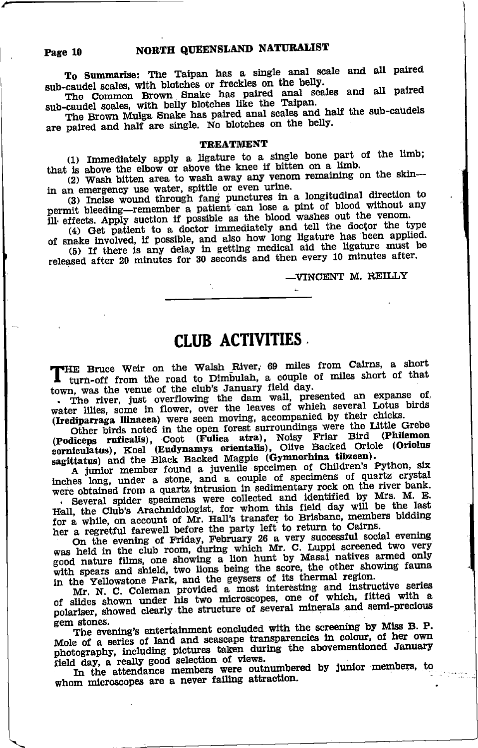#### NORTH QUEENSLAND NATURALIST

To Summarise: The Taipan has a single anal scale and all paired sub-caudel scales, with blotches or freckles on the belly.

Sub-cauter scares, which motions or freezes on the beny.<br>The Common Brown Snake has paired anal scales and all paired<br>sub-caudel scales, with belly blotches like the Taipan.<br>The Brown Mulga Snake has paired anal scales and

#### **TREATMENT**

(1) Immediately apply a ligature to a single bone part of the limb; that is above the elbow or above the knee if bitten on a limb.

(2) Wash bitten area to wash away any venom remaining on the skin-in an emergency use water, spittle or even urine.

(3) Incise wound through fang punctures in a longitudinal direction to permit bleeding-remember a patient can lose a pint of blood without any ill effects. Apply suction if possible as the blood washes out the venom.

(4) Get patient to a doctor immediately and tell the doctor the type of snake involved, if possible, and also how long ligature has been applied.<br>
(5) If there is any delay in getting medical aid the ligature must be released after 20 minutes for 30 seconds and then every 10 minutes after.

#### -VINCENT M. REILLY

## **CLUB ACTIVITIES**

"HE Bruce Weir on the Walsh River, 69 miles from Cairns, a short turn-off from the road to Dimbulah, a couple of miles short of that town, was the venue of the club's January field day.

. The river, just overflowing the dam wall, presented an expanse of water lilies, some in flower, over the leaves of which several Lotus birds (Irediparraga llinacea) were seen moving, accompanied by their chicks.

Other birds noted in the open forest surroundings were the Little Grebe (Podiceps ruficalis), Coot (Fulica atra), Noisy Friar Bird (Philemon corniculatus), Koel (Eudynamys orientalis), Olive Backed Oriole (Oriolus sagittatus) and the Black Backed Magpie (Gymnorhima tiblecen).

A junior member found a juvenile specimen of Children's Python, six inches long, under a stone, and a couple of specimens of quartz crystal were obtained from a quartz intrusion in sedimentary rock on the river bank.

. Several spider specimens were collected and identified by Mrs. M. E. Hall, the Club's Arachnidologist, for whom this field day will be the last for a while, on account of Mr. Hall's transfer to Brisbane, members bidding

her a regretful farewell before the party left to return to Cairns.<br>On the evening of Friday, February 26 a very successful social evening<br>was held in the club room, during which Mr. C. Luppi screened two very<br>good nature with spears and shield, two lions being the score, the other showing fauna

in the Yellowstone Park, and the geysers of its thermal region.<br>M. N. C. Coleman provided a most interesting and instructive series of slides shown under his two microscopes, one of which, fitted with a polariser, showed clearly the structure of several minerals and semi-precious gem stones.

The evening's entertainment concluded with the screening by Miss B. P. Mole of a series of land and seascape transparencies in colour, of her own photography, including pictures taken during the abovementioned January field day, a really good selection of views.

In the attendance members were outnumbered by junior members, to whom microscopes are a never failing attraction.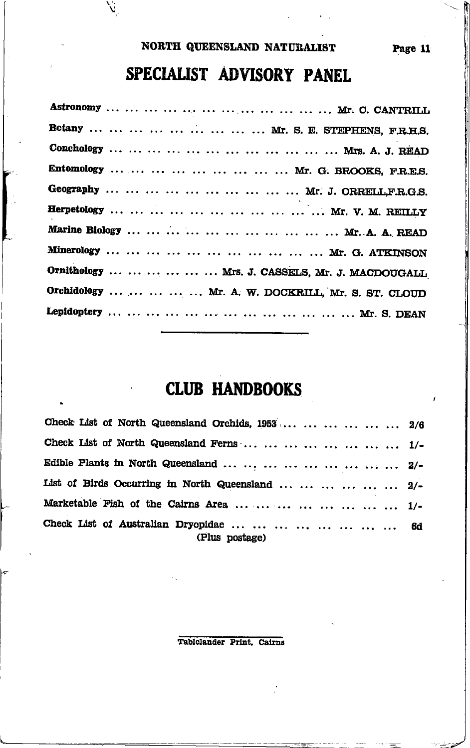### NORTH QUEENSLAND NATURALIST

SPECIALIST ADVISORY PANEL

| Botany         Mr. S. E. STEPHENS, F.R.H.S.           |
|-------------------------------------------------------|
|                                                       |
| Entomology         Mr. G. BROOKS, F.R.E.S.            |
| Geography          Mr. J. ORRELL,F.R.G.S.             |
|                                                       |
|                                                       |
|                                                       |
| Ornithology       Mrs. J. CASSELS, Mr. J. MACDOUGALL  |
| Orchidology      Mr. A. W. DOCKRILL, Mr. S. ST. CLOUD |
|                                                       |
|                                                       |

## **CLUB HANDBOOKS**

| Check List of North Queensland Orchids, 1953       2/6          |  |
|-----------------------------------------------------------------|--|
| Check List of North Queensland Ferns         1/-                |  |
| Edible Plants in North Queensland         2/-                   |  |
| List of Birds Occurring in North Queensland      2/-            |  |
| Marketable Fish of the Cairns Area         1/-                  |  |
| Check List of Australian Dryopidae         6d<br>(Plus postage) |  |

Tablelander Print, Cairns